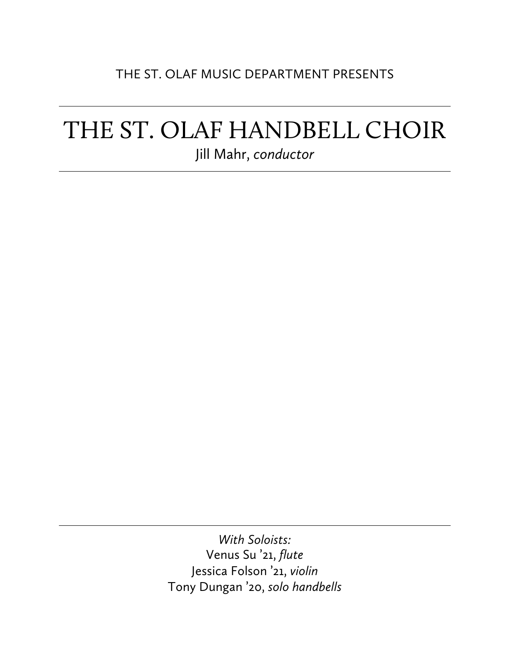### THE ST. OLAF MUSIC DEPARTMENT PRESENTS

# THE ST. OLAF HANDBELL CHOIR Jill Mahr, *conductor*

*With Soloists:* Venus Su '21, *flute* Jessica Folson '21, *violin* Tony Dungan '20, *solo handbells*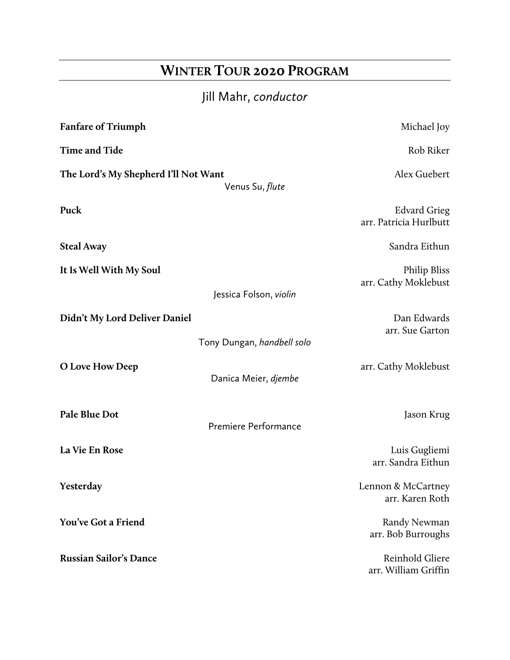# **WINTER TOUR 2020 PROGRAM**

# Jill Mahr, *conductor*

| <b>Fanfare of Triumph</b>                                      |                            | Michael Joy                                   |
|----------------------------------------------------------------|----------------------------|-----------------------------------------------|
| <b>Time and Tide</b>                                           |                            | Rob Riker                                     |
| The Lord's My Shepherd I'll Not Want<br>Venus Su, <i>flute</i> |                            | Alex Guebert                                  |
| Puck                                                           |                            | <b>Edvard Grieg</b><br>arr. Patricia Hurlbutt |
| <b>Steal Away</b>                                              |                            | Sandra Eithun                                 |
| It Is Well With My Soul                                        | Jessica Folson, violin     | <b>Philip Bliss</b><br>arr. Cathy Moklebust   |
| Didn't My Lord Deliver Daniel                                  | Tony Dungan, handbell solo | Dan Edwards<br>arr. Sue Garton                |
| O Love How Deep                                                | Danica Meier, djembe       | arr. Cathy Moklebust                          |
| Pale Blue Dot                                                  | Premiere Performance       | Jason Krug                                    |
| La Vie En Rose                                                 |                            | Luis Gugliemi<br>arr. Sandra Eithun           |
| Yesterday                                                      |                            | Lennon & McCartney<br>arr. Karen Roth         |
| You've Got a Friend                                            |                            | Randy Newman<br>arr. Bob Burroughs            |
| <b>Russian Sailor's Dance</b>                                  |                            | Reinhold Gliere<br>arr. William Griffin       |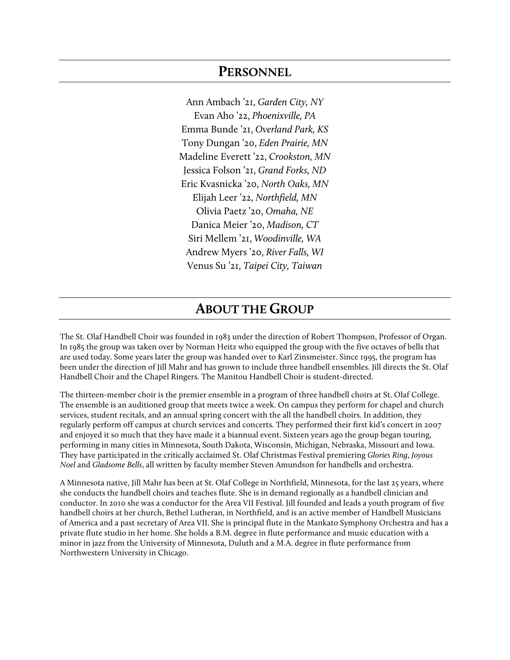#### **PERSONNEL**

Ann Ambach '21, *Garden City, NY* Evan Aho '22, *Phoenixville, PA* Emma Bunde '21, *Overland Park, KS* Tony Dungan '20, *Eden Prairie, MN* Madeline Everett '22, *Crookston, MN* Jessica Folson '21, *Grand Forks, ND* Eric Kvasnicka '20, *North Oaks, MN* Elijah Leer '22, *Northfield, MN* Olivia Paetz '20, *Omaha, NE* Danica Meier '20, *Madison, CT* Siri Mellem '21, *Woodinville, WA* Andrew Myers '20, *River Falls, WI* Venus Su '21, *Taipei City, Taiwan*

#### **ABOUT THE GROUP**

The St. Olaf Handbell Choir was founded in 1983 under the direction of Robert Thompson, Professor of Organ. In 1985 the group was taken over by Norman Heitz who equipped the group with the five octaves of bells that are used today. Some years later the group was handed over to Karl Zinsmeister. Since 1995, the program has been under the direction of Jill Mahr and has grown to include three handbell ensembles. Jill directs the St. Olaf Handbell Choir and the Chapel Ringers. The Manitou Handbell Choir is student-directed.

The thirteen-member choir is the premier ensemble in a program of three handbell choirs at St. Olaf College. The ensemble is an auditioned group that meets twice a week. On campus they perform for chapel and church services, student recitals, and an annual spring concert with the all the handbell choirs. In addition, they regularly perform off campus at church services and concerts. They performed their first kid's concert in 2007 and enjoyed it so much that they have made it a biannual event. Sixteen years ago the group began touring, performing in many cities in Minnesota, South Dakota, Wisconsin, Michigan, Nebraska, Missouri and Iowa. They have participated in the critically acclaimed St. Olaf Christmas Festival premiering *Glories Ring*, *Joyous Noel* and *Gladsome Bells*, all written by faculty member Steven Amundson for handbells and orchestra.

A Minnesota native, Jill Mahr has been at St. Olaf College in Northfield, Minnesota, for the last 25 years, where she conducts the handbell choirs and teaches flute. She is in demand regionally as a handbell clinician and conductor. In 2010 she was a conductor for the Area VII Festival. Jill founded and leads a youth program of five handbell choirs at her church, Bethel Lutheran, in Northfield, and is an active member of Handbell Musicians of America and a past secretary of Area VII. She is principal flute in the Mankato Symphony Orchestra and has a private flute studio in her home. She holds a B.M. degree in flute performance and music education with a minor in jazz from the University of Minnesota, Duluth and a M.A. degree in flute performance from Northwestern University in Chicago.